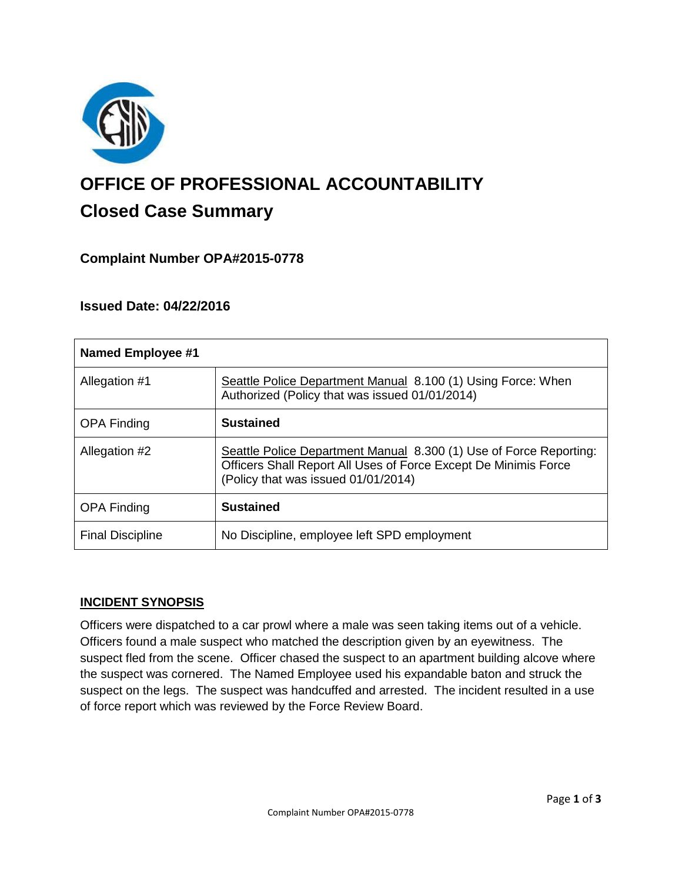

# **OFFICE OF PROFESSIONAL ACCOUNTABILITY Closed Case Summary**

## **Complaint Number OPA#2015-0778**

## **Issued Date: 04/22/2016**

| <b>Named Employee #1</b> |                                                                                                                                                                              |
|--------------------------|------------------------------------------------------------------------------------------------------------------------------------------------------------------------------|
| Allegation #1            | Seattle Police Department Manual 8.100 (1) Using Force: When<br>Authorized (Policy that was issued 01/01/2014)                                                               |
| <b>OPA Finding</b>       | <b>Sustained</b>                                                                                                                                                             |
| Allegation #2            | Seattle Police Department Manual 8.300 (1) Use of Force Reporting:<br>Officers Shall Report All Uses of Force Except De Minimis Force<br>(Policy that was issued 01/01/2014) |
| <b>OPA Finding</b>       | <b>Sustained</b>                                                                                                                                                             |
| <b>Final Discipline</b>  | No Discipline, employee left SPD employment                                                                                                                                  |

#### **INCIDENT SYNOPSIS**

Officers were dispatched to a car prowl where a male was seen taking items out of a vehicle. Officers found a male suspect who matched the description given by an eyewitness. The suspect fled from the scene. Officer chased the suspect to an apartment building alcove where the suspect was cornered. The Named Employee used his expandable baton and struck the suspect on the legs. The suspect was handcuffed and arrested. The incident resulted in a use of force report which was reviewed by the Force Review Board.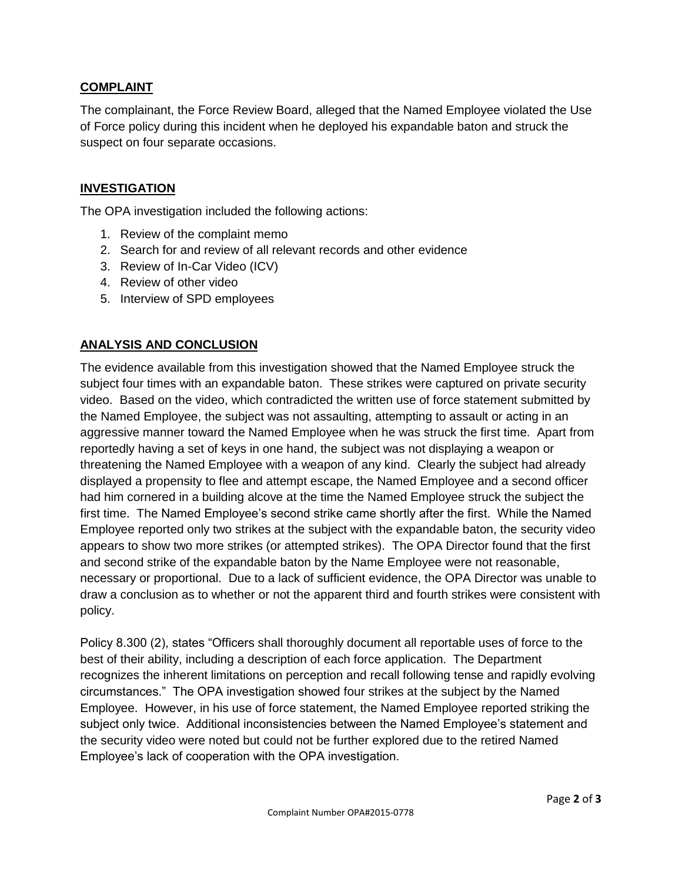### **COMPLAINT**

The complainant, the Force Review Board, alleged that the Named Employee violated the Use of Force policy during this incident when he deployed his expandable baton and struck the suspect on four separate occasions.

### **INVESTIGATION**

The OPA investigation included the following actions:

- 1. Review of the complaint memo
- 2. Search for and review of all relevant records and other evidence
- 3. Review of In-Car Video (ICV)
- 4. Review of other video
- 5. Interview of SPD employees

## **ANALYSIS AND CONCLUSION**

The evidence available from this investigation showed that the Named Employee struck the subject four times with an expandable baton. These strikes were captured on private security video. Based on the video, which contradicted the written use of force statement submitted by the Named Employee, the subject was not assaulting, attempting to assault or acting in an aggressive manner toward the Named Employee when he was struck the first time. Apart from reportedly having a set of keys in one hand, the subject was not displaying a weapon or threatening the Named Employee with a weapon of any kind. Clearly the subject had already displayed a propensity to flee and attempt escape, the Named Employee and a second officer had him cornered in a building alcove at the time the Named Employee struck the subject the first time. The Named Employee's second strike came shortly after the first. While the Named Employee reported only two strikes at the subject with the expandable baton, the security video appears to show two more strikes (or attempted strikes). The OPA Director found that the first and second strike of the expandable baton by the Name Employee were not reasonable, necessary or proportional. Due to a lack of sufficient evidence, the OPA Director was unable to draw a conclusion as to whether or not the apparent third and fourth strikes were consistent with policy.

Policy 8.300 (2), states "Officers shall thoroughly document all reportable uses of force to the best of their ability, including a description of each force application. The Department recognizes the inherent limitations on perception and recall following tense and rapidly evolving circumstances." The OPA investigation showed four strikes at the subject by the Named Employee. However, in his use of force statement, the Named Employee reported striking the subject only twice. Additional inconsistencies between the Named Employee's statement and the security video were noted but could not be further explored due to the retired Named Employee's lack of cooperation with the OPA investigation.